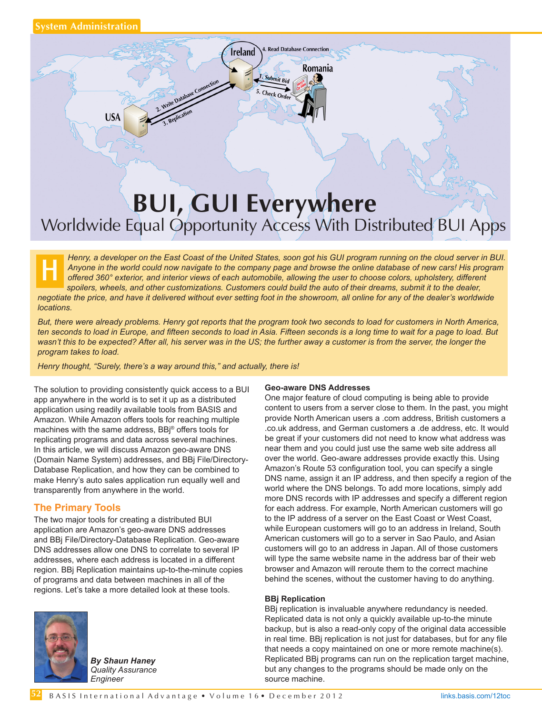

# Worldwide Equal Opportunity Access With Distributed BUI Apps

*Henry, a developer on the East Coast of the United States, soon got his GUI program running on the cloud server in BUI. Anyone in the world could now navigate to the company page and browse the online database of new cars! His program offered 360° exterior, and interior views of each automobile, allowing the user to choose colors, upholstery, different*  spoilers, wheels, and other customizations. Customers could build the auto of their dreams, submit it to the dealer, *negotiate the price, and have it delivered without ever setting foot in the showroom, all online for any of the dealer's worldwide locations.*  **H**

*But, there were already problems. Henry got reports that the program took two seconds to load for customers in North America, ten seconds to load in Europe, and fifteen seconds to load in Asia. Fifteen seconds is a long time to wait for a page to load. But*  wasn't this to be expected? After all, his server was in the US; the further away a customer is from the server, the longer the *program takes to load.* 

*Henry thought, "Surely, there's a way around this," and actually, there is!*

The solution to providing consistently quick access to a BUI app anywhere in the world is to set it up as a distributed application using readily available tools from BASIS and Amazon. While Amazon offers tools for reaching multiple machines with the same address, BBj® offers tools for replicating programs and data across several machines. In this article, we will discuss Amazon geo-aware DNS (Domain Name System) addresses, and BBj File/Directory-Database Replication, and how they can be combined to make Henry's auto sales application run equally well and transparently from anywhere in the world.

## **The Primary Tools**

The two major tools for creating a distributed BUI application are Amazon's geo-aware DNS addresses and BBj File/Directory-Database Replication. Geo-aware DNS addresses allow one DNS to correlate to several IP addresses, where each address is located in a different region. BBj Replication maintains up-to-the-minute copies of programs and data between machines in all of the regions. Let's take a more detailed look at these tools.



*By Shaun Haney Quality Assurance Engineer*

#### **Geo-aware DNS Addresses**

One major feature of cloud computing is being able to provide content to users from a server close to them. In the past, you might provide North American users a .com address, British customers a .co.uk address, and German customers a .de address, etc. It would be great if your customers did not need to know what address was near them and you could just use the same web site address all over the world. Geo-aware addresses provide exactly this. Using Amazon's Route 53 configuration tool, you can specify a single DNS name, assign it an IP address, and then specify a region of the world where the DNS belongs. To add more locations, simply add more DNS records with IP addresses and specify a different region for each address. For example, North American customers will go to the IP address of a server on the East Coast or West Coast, while European customers will go to an address in Ireland, South American customers will go to a server in Sao Paulo, and Asian customers will go to an address in Japan. All of those customers will type the same website name in the address bar of their web browser and Amazon will reroute them to the correct machine behind the scenes, without the customer having to do anything.

#### **BBj Replication**

BBj replication is invaluable anywhere redundancy is needed. Replicated data is not only a quickly available up-to-the minute backup, but is also a read-only copy of the original data accessible in real time. BBj replication is not just for databases, but for any file that needs a copy maintained on one or more remote machine(s). Replicated BBj programs can run on the replication target machine, but any changes to the programs should be made only on the source machine.